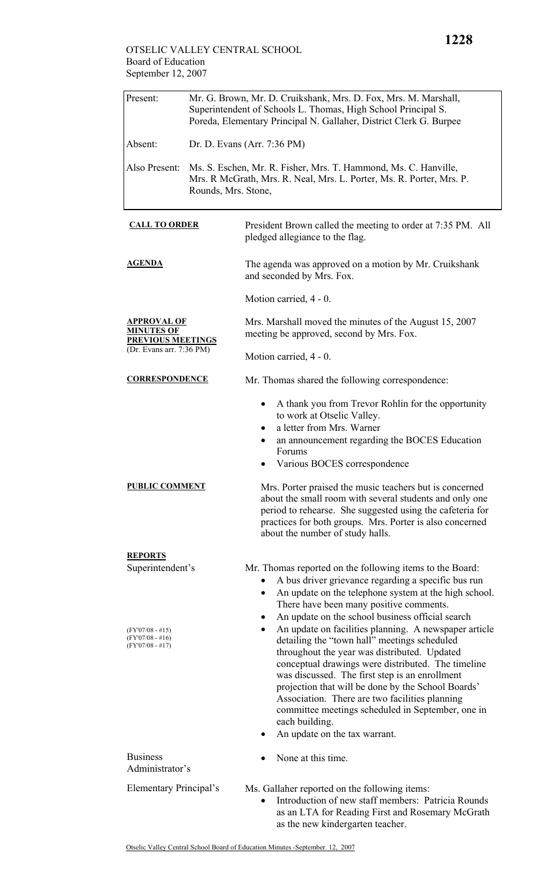## OTSELIC VALLEY CENTRAL SCHOOL Board of Education September 12, 2007

| Present:                                                                          | Mr. G. Brown, Mr. D. Cruikshank, Mrs. D. Fox, Mrs. M. Marshall,<br>Superintendent of Schools L. Thomas, High School Principal S.<br>Poreda, Elementary Principal N. Gallaher, District Clerk G. Burpee |                                                                                                                                                                                                                                                                                                                                                                                                                                                                                                                                                                                                                                                                                                                                     |  |
|-----------------------------------------------------------------------------------|--------------------------------------------------------------------------------------------------------------------------------------------------------------------------------------------------------|-------------------------------------------------------------------------------------------------------------------------------------------------------------------------------------------------------------------------------------------------------------------------------------------------------------------------------------------------------------------------------------------------------------------------------------------------------------------------------------------------------------------------------------------------------------------------------------------------------------------------------------------------------------------------------------------------------------------------------------|--|
| Absent:                                                                           | Dr. D. Evans (Arr. 7:36 PM)                                                                                                                                                                            |                                                                                                                                                                                                                                                                                                                                                                                                                                                                                                                                                                                                                                                                                                                                     |  |
| Also Present:                                                                     | Ms. S. Eschen, Mr. R. Fisher, Mrs. T. Hammond, Ms. C. Hanville,<br>Mrs. R McGrath, Mrs. R. Neal, Mrs. L. Porter, Ms. R. Porter, Mrs. P.<br>Rounds, Mrs. Stone,                                         |                                                                                                                                                                                                                                                                                                                                                                                                                                                                                                                                                                                                                                                                                                                                     |  |
| <b>CALL TO ORDER</b>                                                              |                                                                                                                                                                                                        | President Brown called the meeting to order at 7:35 PM. All<br>pledged allegiance to the flag.                                                                                                                                                                                                                                                                                                                                                                                                                                                                                                                                                                                                                                      |  |
| <u>AGENDA</u>                                                                     |                                                                                                                                                                                                        | The agenda was approved on a motion by Mr. Cruikshank<br>and seconded by Mrs. Fox.                                                                                                                                                                                                                                                                                                                                                                                                                                                                                                                                                                                                                                                  |  |
|                                                                                   |                                                                                                                                                                                                        | Motion carried, 4 - 0.                                                                                                                                                                                                                                                                                                                                                                                                                                                                                                                                                                                                                                                                                                              |  |
| APPROVAL OF<br>MINUTES OF<br><b>PREVIOUS MEETINGS</b><br>(Dr. Evans arr. 7:36 PM) |                                                                                                                                                                                                        | Mrs. Marshall moved the minutes of the August 15, 2007<br>meeting be approved, second by Mrs. Fox.                                                                                                                                                                                                                                                                                                                                                                                                                                                                                                                                                                                                                                  |  |
|                                                                                   |                                                                                                                                                                                                        | Motion carried, 4 - 0.                                                                                                                                                                                                                                                                                                                                                                                                                                                                                                                                                                                                                                                                                                              |  |
| <b>CORRESPONDENCE</b>                                                             |                                                                                                                                                                                                        | Mr. Thomas shared the following correspondence:                                                                                                                                                                                                                                                                                                                                                                                                                                                                                                                                                                                                                                                                                     |  |
|                                                                                   |                                                                                                                                                                                                        | A thank you from Trevor Rohlin for the opportunity<br>٠<br>to work at Otselic Valley.<br>a letter from Mrs. Warner<br>an announcement regarding the BOCES Education<br>$\bullet$<br>Forums<br>Various BOCES correspondence                                                                                                                                                                                                                                                                                                                                                                                                                                                                                                          |  |
| <b>PUBLIC COMMENT</b>                                                             |                                                                                                                                                                                                        | Mrs. Porter praised the music teachers but is concerned<br>about the small room with several students and only one<br>period to rehearse. She suggested using the cafeteria for<br>practices for both groups. Mrs. Porter is also concerned<br>about the number of study halls.                                                                                                                                                                                                                                                                                                                                                                                                                                                     |  |
| <b>REPORTS</b><br>Superintendent's                                                |                                                                                                                                                                                                        | Mr. Thomas reported on the following items to the Board:                                                                                                                                                                                                                                                                                                                                                                                                                                                                                                                                                                                                                                                                            |  |
| $(FY'07/08 - #15)$<br>$(FY'07/08 - #16)$<br>$(FY'07/08 - #17)$                    |                                                                                                                                                                                                        | A bus driver grievance regarding a specific bus run<br>An update on the telephone system at the high school.<br>$\bullet$<br>There have been many positive comments.<br>An update on the school business official search<br>$\bullet$<br>An update on facilities planning. A newspaper article<br>$\bullet$<br>detailing the "town hall" meetings scheduled<br>throughout the year was distributed. Updated<br>conceptual drawings were distributed. The timeline<br>was discussed. The first step is an enrollment<br>projection that will be done by the School Boards'<br>Association. There are two facilities planning<br>committee meetings scheduled in September, one in<br>each building.<br>An update on the tax warrant. |  |
| <b>Business</b>                                                                   |                                                                                                                                                                                                        | None at this time.                                                                                                                                                                                                                                                                                                                                                                                                                                                                                                                                                                                                                                                                                                                  |  |
| Administrator's                                                                   |                                                                                                                                                                                                        |                                                                                                                                                                                                                                                                                                                                                                                                                                                                                                                                                                                                                                                                                                                                     |  |
| Elementary Principal's                                                            |                                                                                                                                                                                                        | Ms. Gallaher reported on the following items:<br>Introduction of new staff members: Patricia Rounds<br>$\bullet$<br>as an LTA for Reading First and Rosemary McGrath<br>as the new kindergarten teacher.                                                                                                                                                                                                                                                                                                                                                                                                                                                                                                                            |  |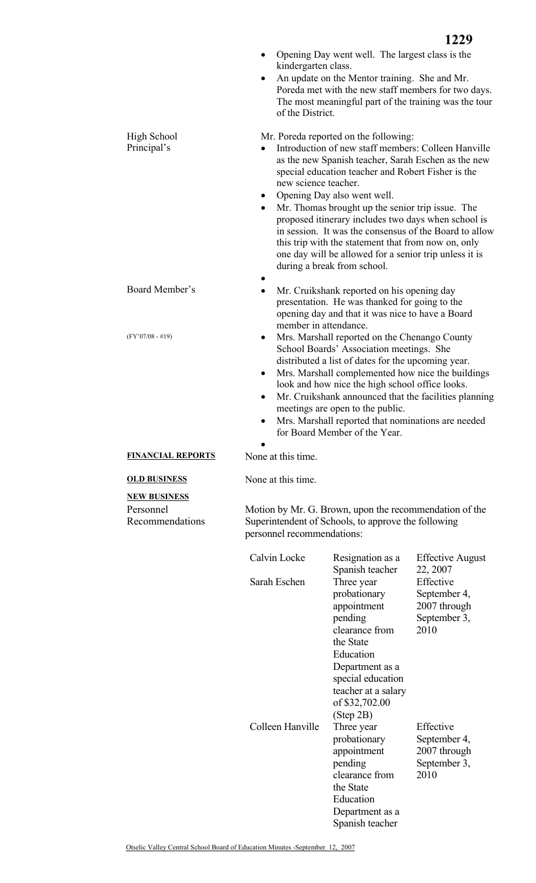|                                                     | kindergarten class.<br>of the District.                                                                                                     | Opening Day went well. The largest class is the<br>An update on the Mentor training. She and Mr.<br>Poreda met with the new staff members for two days.<br>The most meaningful part of the training was the tour                                                                                                                                                                                                                                                                                                                                                                               | 1229                                             |
|-----------------------------------------------------|---------------------------------------------------------------------------------------------------------------------------------------------|------------------------------------------------------------------------------------------------------------------------------------------------------------------------------------------------------------------------------------------------------------------------------------------------------------------------------------------------------------------------------------------------------------------------------------------------------------------------------------------------------------------------------------------------------------------------------------------------|--------------------------------------------------|
| High School<br>Principal's                          | new science teacher.<br>$\bullet$<br>$\bullet$                                                                                              | Mr. Poreda reported on the following:<br>Introduction of new staff members: Colleen Hanville<br>as the new Spanish teacher, Sarah Eschen as the new<br>special education teacher and Robert Fisher is the<br>Opening Day also went well.<br>Mr. Thomas brought up the senior trip issue. The<br>proposed itinerary includes two days when school is<br>in session. It was the consensus of the Board to allow<br>this trip with the statement that from now on, only<br>one day will be allowed for a senior trip unless it is<br>during a break from school.                                  |                                                  |
| Board Member's<br>$(FY'07/08 - #19)$                | member in attendance.<br>٠                                                                                                                  | Mr. Cruikshank reported on his opening day<br>presentation. He was thanked for going to the<br>opening day and that it was nice to have a Board<br>Mrs. Marshall reported on the Chenango County<br>School Boards' Association meetings. She<br>distributed a list of dates for the upcoming year.<br>Mrs. Marshall complemented how nice the buildings<br>look and how nice the high school office looks.<br>Mr. Cruikshank announced that the facilities planning<br>meetings are open to the public.<br>Mrs. Marshall reported that nominations are needed<br>for Board Member of the Year. |                                                  |
| <b>FINANCIAL REPORTS</b>                            | None at this time.                                                                                                                          |                                                                                                                                                                                                                                                                                                                                                                                                                                                                                                                                                                                                |                                                  |
| <b>OLD BUSINESS</b>                                 | None at this time.                                                                                                                          |                                                                                                                                                                                                                                                                                                                                                                                                                                                                                                                                                                                                |                                                  |
| <b>NEW BUSINESS</b><br>Personnel<br>Recommendations | Motion by Mr. G. Brown, upon the recommendation of the<br>Superintendent of Schools, to approve the following<br>personnel recommendations: |                                                                                                                                                                                                                                                                                                                                                                                                                                                                                                                                                                                                |                                                  |
|                                                     | Calvin Locke<br>Sarah Eschen                                                                                                                | Resignation as a<br>Spanish teacher<br>Three year                                                                                                                                                                                                                                                                                                                                                                                                                                                                                                                                              | <b>Effective August</b><br>22, 2007<br>Effective |

| Calvin Locke<br>Sarah Eschen | Resignation as a<br>Spanish teacher<br>Three year<br>probationary<br>appointment<br>pending<br>clearance from<br>the State<br>Education<br>Department as a<br>special education<br>teacher at a salary | <b>Effective August</b><br>22, 2007<br>Effective<br>September 4,<br>2007 through<br>September 3,<br>2010 |
|------------------------------|--------------------------------------------------------------------------------------------------------------------------------------------------------------------------------------------------------|----------------------------------------------------------------------------------------------------------|
| Colleen Hanville             | of \$32,702.00<br>(Step 2B)<br>Three year<br>probationary<br>appointment<br>pending<br>clearance from<br>the State<br>Education<br>Department as a<br>Spanish teacher                                  | Effective<br>September 4,<br>2007 through<br>September 3,<br>2010                                        |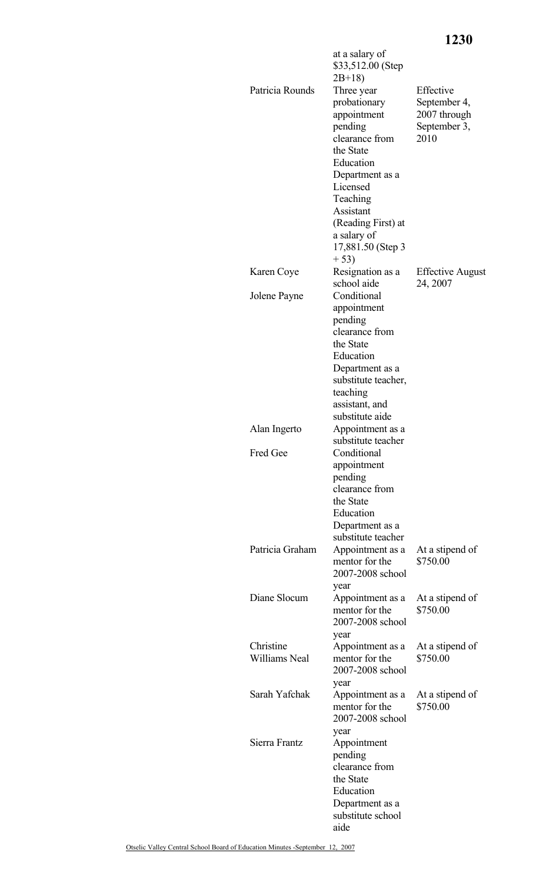# **1230**

| Patricia Rounds            | at a salary of<br>\$33,512.00 (Step<br>$2B+18$<br>Three year<br>probationary<br>appointment<br>pending<br>clearance from<br>the State<br>Education<br>Department as a<br>Licensed<br>Teaching<br>Assistant<br>(Reading First) at<br>a salary of<br>17,881.50 (Step 3<br>$+53)$ | Effective<br>September 4,<br>2007 through<br>September 3,<br>2010 |
|----------------------------|--------------------------------------------------------------------------------------------------------------------------------------------------------------------------------------------------------------------------------------------------------------------------------|-------------------------------------------------------------------|
| Karen Coye                 | Resignation as a<br>school aide                                                                                                                                                                                                                                                | <b>Effective August</b><br>24, 2007                               |
| Jolene Payne               | Conditional<br>appointment<br>pending<br>clearance from<br>the State<br>Education<br>Department as a<br>substitute teacher,<br>teaching<br>assistant, and                                                                                                                      |                                                                   |
| Alan Ingerto               | substitute aide<br>Appointment as a                                                                                                                                                                                                                                            |                                                                   |
| <b>Fred Gee</b>            | substitute teacher<br>Conditional<br>appointment<br>pending<br>clearance from<br>the State<br>Education<br>Department as a<br>substitute teacher                                                                                                                               |                                                                   |
| Patricia Graham            | Appointment as a<br>mentor for the<br>2007-2008 school<br>year                                                                                                                                                                                                                 | At a stipend of<br>\$750.00                                       |
| Diane Slocum               | Appointment as a<br>mentor for the<br>2007-2008 school<br>year                                                                                                                                                                                                                 | At a stipend of<br>\$750.00                                       |
| Christine<br>Williams Neal | Appointment as a<br>mentor for the<br>2007-2008 school<br>year                                                                                                                                                                                                                 | At a stipend of<br>\$750.00                                       |
| Sarah Yafchak              | Appointment as a<br>mentor for the<br>2007-2008 school<br>year                                                                                                                                                                                                                 | At a stipend of<br>\$750.00                                       |
| Sierra Frantz              | Appointment<br>pending<br>clearance from<br>the State<br>Education<br>Department as a<br>substitute school<br>aide                                                                                                                                                             |                                                                   |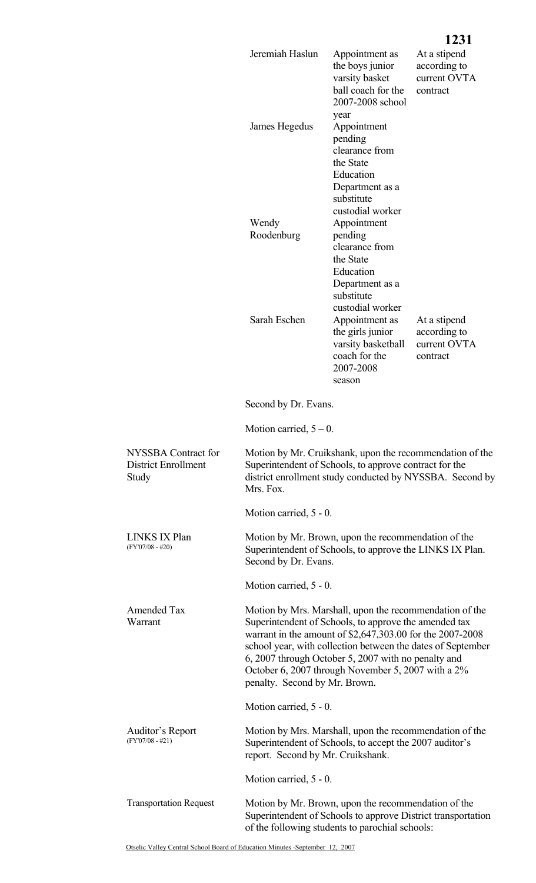|                                                            |                                                                                                                                                                                                                                                                                                                                                                                            |                                                                                                                                            | 1231                                                     |
|------------------------------------------------------------|--------------------------------------------------------------------------------------------------------------------------------------------------------------------------------------------------------------------------------------------------------------------------------------------------------------------------------------------------------------------------------------------|--------------------------------------------------------------------------------------------------------------------------------------------|----------------------------------------------------------|
|                                                            | Jeremiah Haslun                                                                                                                                                                                                                                                                                                                                                                            | Appointment as<br>the boys junior<br>varsity basket<br>ball coach for the<br>2007-2008 school                                              | At a stipend<br>according to<br>current OVTA<br>contract |
|                                                            | James Hegedus                                                                                                                                                                                                                                                                                                                                                                              | year<br>Appointment<br>pending<br>clearance from<br>the State<br>Education                                                                 |                                                          |
|                                                            | Wendy<br>Roodenburg                                                                                                                                                                                                                                                                                                                                                                        | Department as a<br>substitute<br>custodial worker<br>Appointment<br>pending<br>clearance from<br>the State<br>Education<br>Department as a |                                                          |
|                                                            | Sarah Eschen                                                                                                                                                                                                                                                                                                                                                                               | substitute<br>custodial worker<br>Appointment as<br>the girls junior<br>varsity basketball<br>coach for the<br>2007-2008<br>season         | At a stipend<br>according to<br>current OVTA<br>contract |
|                                                            | Second by Dr. Evans.                                                                                                                                                                                                                                                                                                                                                                       |                                                                                                                                            |                                                          |
|                                                            | Motion carried, $5 - 0$ .                                                                                                                                                                                                                                                                                                                                                                  |                                                                                                                                            |                                                          |
| NYSSBA Contract for<br><b>District Enrollment</b><br>Study | Motion by Mr. Cruikshank, upon the recommendation of the<br>Superintendent of Schools, to approve contract for the<br>district enrollment study conducted by NYSSBA. Second by<br>Mrs. Fox.                                                                                                                                                                                                |                                                                                                                                            |                                                          |
|                                                            | Motion carried, 5 - 0.                                                                                                                                                                                                                                                                                                                                                                     |                                                                                                                                            |                                                          |
| <b>LINKS IX Plan</b><br>$(FY'07/08 - #20)$                 | Motion by Mr. Brown, upon the recommendation of the<br>Superintendent of Schools, to approve the LINKS IX Plan.<br>Second by Dr. Evans.                                                                                                                                                                                                                                                    |                                                                                                                                            |                                                          |
|                                                            | Motion carried, 5 - 0.                                                                                                                                                                                                                                                                                                                                                                     |                                                                                                                                            |                                                          |
| Amended Tax<br>Warrant                                     | Motion by Mrs. Marshall, upon the recommendation of the<br>Superintendent of Schools, to approve the amended tax<br>warrant in the amount of \$2,647,303.00 for the 2007-2008<br>school year, with collection between the dates of September<br>6, 2007 through October 5, 2007 with no penalty and<br>October 6, 2007 through November 5, 2007 with a 2%<br>penalty. Second by Mr. Brown. |                                                                                                                                            |                                                          |
|                                                            | Motion carried, 5 - 0.                                                                                                                                                                                                                                                                                                                                                                     |                                                                                                                                            |                                                          |
| Auditor's Report<br>$(FY'07/08 - #21)$                     | Motion by Mrs. Marshall, upon the recommendation of the<br>Superintendent of Schools, to accept the 2007 auditor's<br>report. Second by Mr. Cruikshank.                                                                                                                                                                                                                                    |                                                                                                                                            |                                                          |
|                                                            | Motion carried, 5 - 0.                                                                                                                                                                                                                                                                                                                                                                     |                                                                                                                                            |                                                          |
|                                                            |                                                                                                                                                                                                                                                                                                                                                                                            |                                                                                                                                            |                                                          |

 Motion by Mr. Brown, upon the recommendation of the Superintendent of Schools to approve District transportation

of the following students to parochial schools:

Otselic Valley Central School Board of Education Minutes -September 12, 2007

Transportation Request